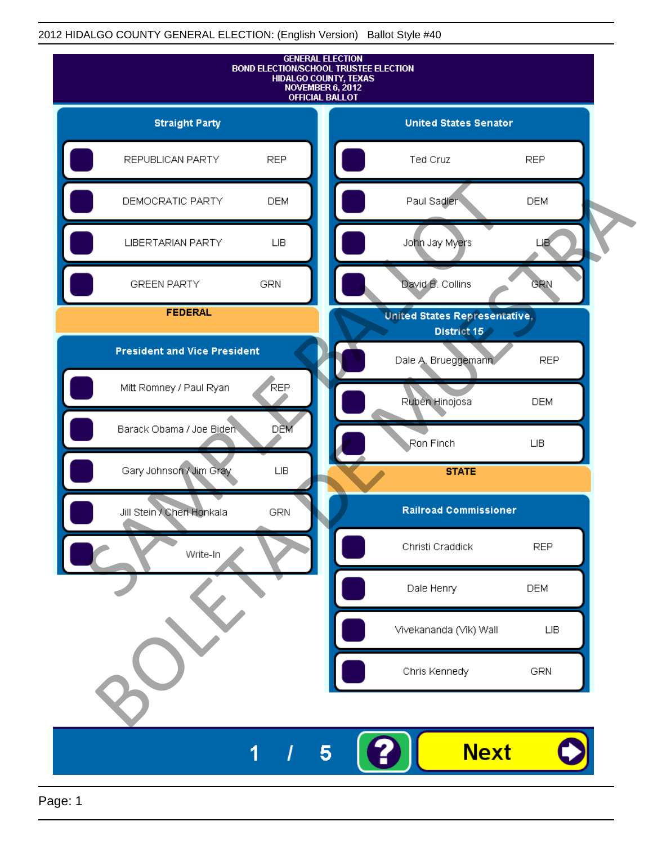

Page: 1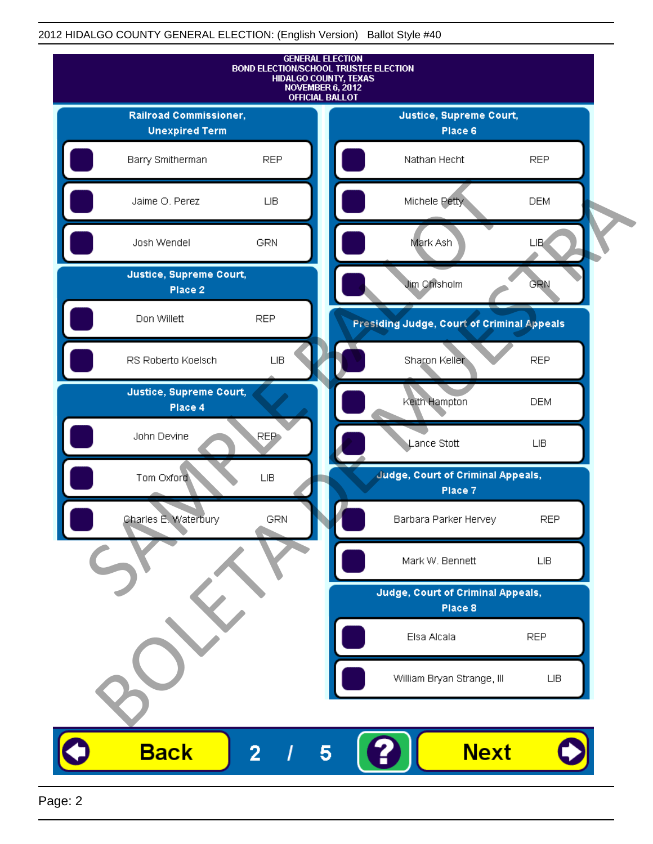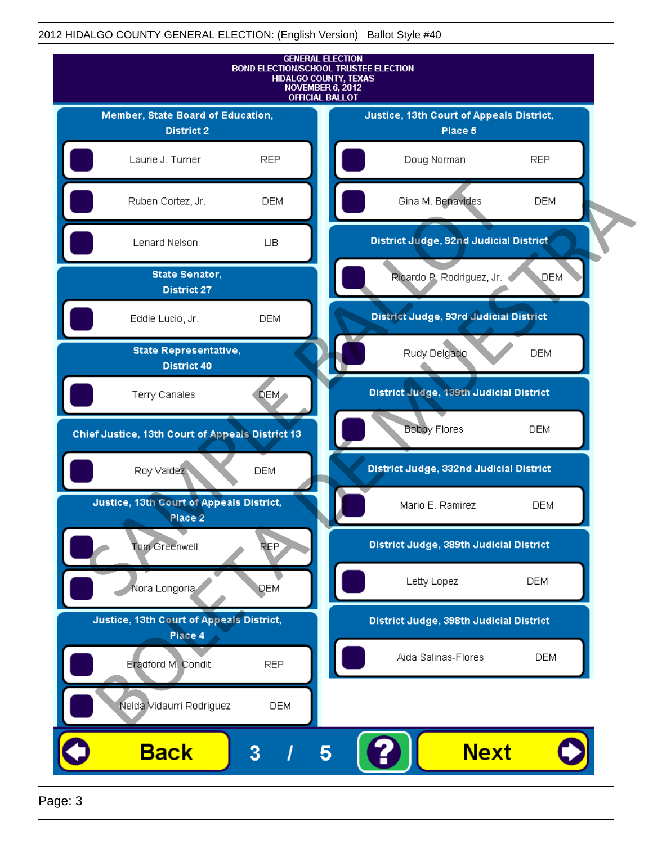

Page: 3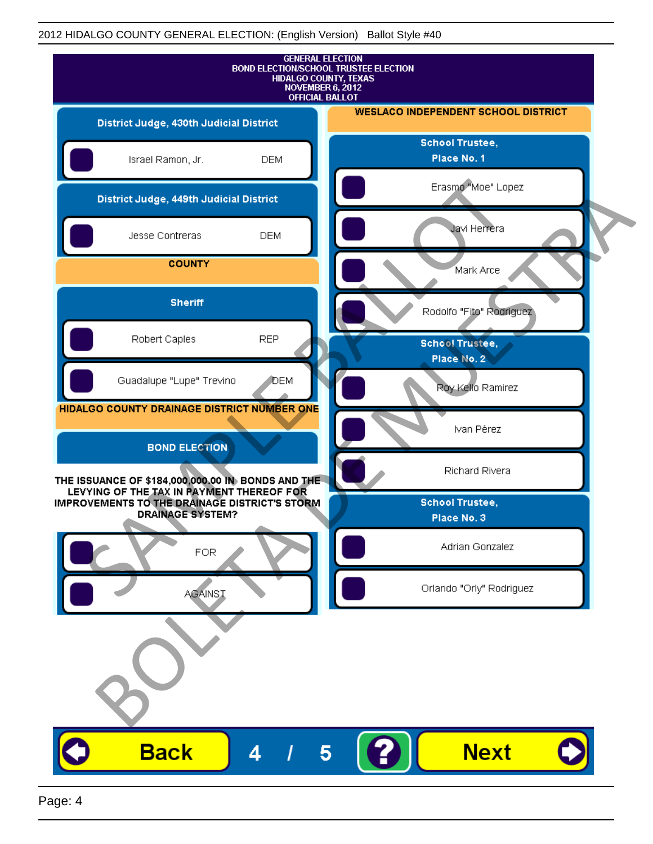| <b>GENERAL ELECTION</b><br><b>BOND ELECTION/SCHOOL TRUSTEE ELECTION</b><br>HIDALGO COUNTY, TEXAS<br>NOVEMBER 6, 2012<br><b>OFFICIAL BALLOT</b>                             |                                            |
|----------------------------------------------------------------------------------------------------------------------------------------------------------------------------|--------------------------------------------|
| District Judge, 430th Judicial District                                                                                                                                    | <b>WESLACO INDEPENDENT SCHOOL DISTRICT</b> |
| Israel Ramon, Jr.<br><b>DEM</b>                                                                                                                                            | <b>School Trustee,</b><br>Place No. 1      |
| District Judge, 449th Judicial District                                                                                                                                    | Erasmo "Moe" Lopez                         |
| Jesse Contreras<br><b>DEM</b>                                                                                                                                              | Javi Herrera                               |
| <b>COUNTY</b>                                                                                                                                                              | Mark Arce                                  |
| <b>Sheriff</b>                                                                                                                                                             | Rodolfo "Fito" Rodriguez                   |
| Robert Caples<br><b>REP</b>                                                                                                                                                | <b>School Trustee,</b><br>Place No. 2      |
| Guadalupe "Lupe" Trevino<br>DEM                                                                                                                                            | Roy Kello Ramirez                          |
| HIDALGO COUNTY DRAINAGE DISTRICT NUMBER ONE                                                                                                                                | Ivan Pérez                                 |
| <b>BOND ELECTION</b>                                                                                                                                                       | Richard Rivera                             |
| THE ISSUANCE OF \$184,000,000.00 IN BONDS AND THE<br>LEVYING OF THE TAX IN PAYMENT THEREOF FOR<br>IMPROVEMENTS TO THE DRAINAGE DISTRICT'S STORM<br><b>DRAINAGE SYSTEM?</b> | <b>School Trustee,</b>                     |
|                                                                                                                                                                            | Place No. 3                                |
| <b>FOR</b>                                                                                                                                                                 | Adrian Gonzalez                            |
| <b>AGAINST</b>                                                                                                                                                             | Orlando "Orly" Rodriguez                   |
|                                                                                                                                                                            |                                            |
| <b>Back</b><br>5<br>4                                                                                                                                                      | <b>Next</b>                                |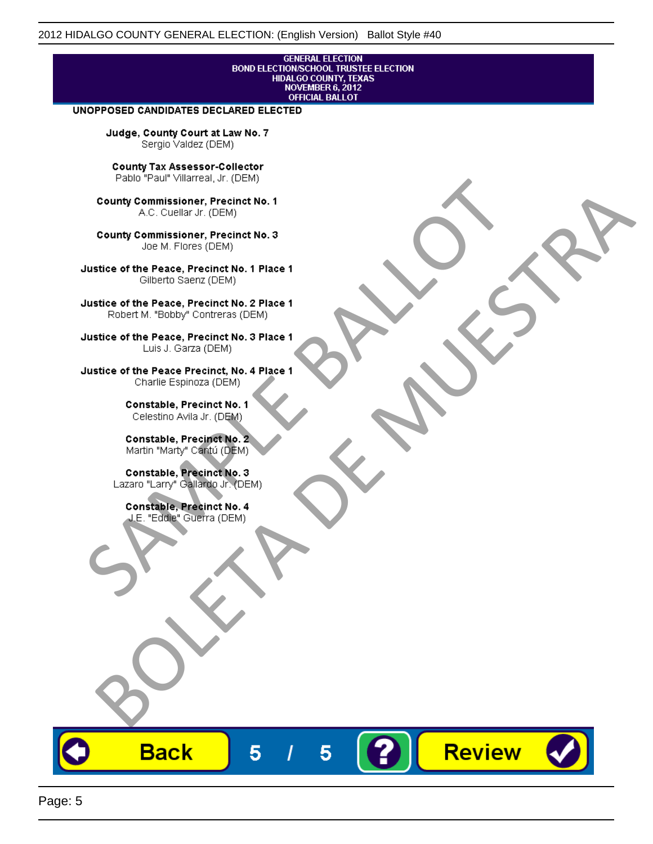# **GENERAL ELECTION** BOND ELECTION/SCHOOL TRUSTEE ELECTION<br>HIDALGO COUNTY, TEXAS<br>NOVEMBER 6, 2012<br>OFFICIAL BALLOT

Review

#### UNOPPOSED CANDIDATES DECLARED ELECTED

Judge, County Court at Law No. 7 Sergio Valdez (DEM)

County Tax Assessor-Collector

Frame The Passe, Precinct No. 1<br>
County Commissioner, Precinct No. 1<br>
SC. Cutellar Jr. (DEM)<br>
County Commissioner, Precinct No. 2<br>
Ulastice of the Peace, Precinct No. 2<br>
Ulastice of the Peace, Precinct No. 2<br>
Robert M. "Bl County Commissioner, Precinat No. 1<br>
A County Commissioner, Precinat No. 3<br>
Use of the Peace, Precinat No. 3<br>
Use of the Peace, Precinat No. 1<br>
There is a precinc No. 2<br>
There is a precinc No. 2<br>
There is a precinc No. 2<br>

**Back** 

5

5

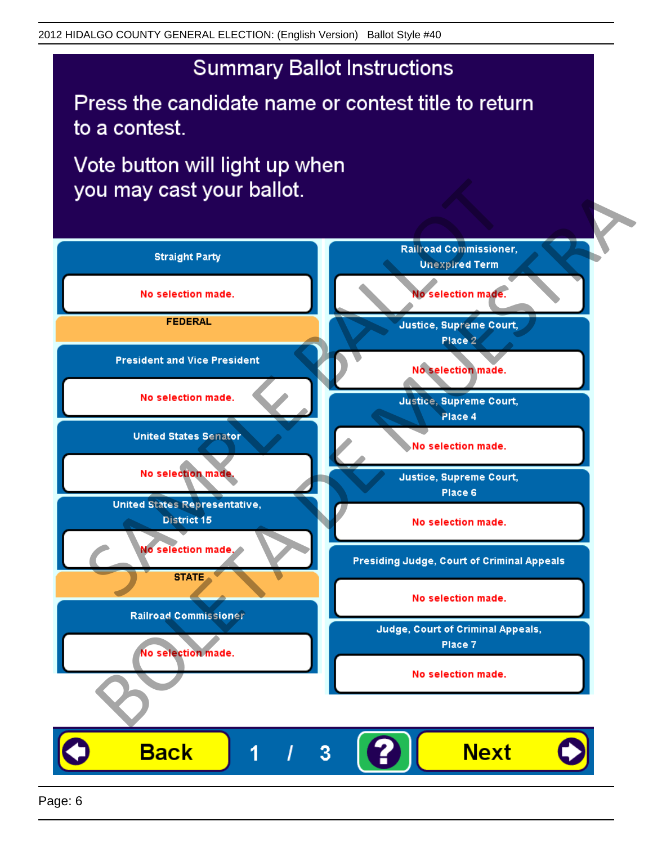## **Summary Ballot Instructions**

Press the candidate name or contest title to return to a contest.

Vote button will light up when

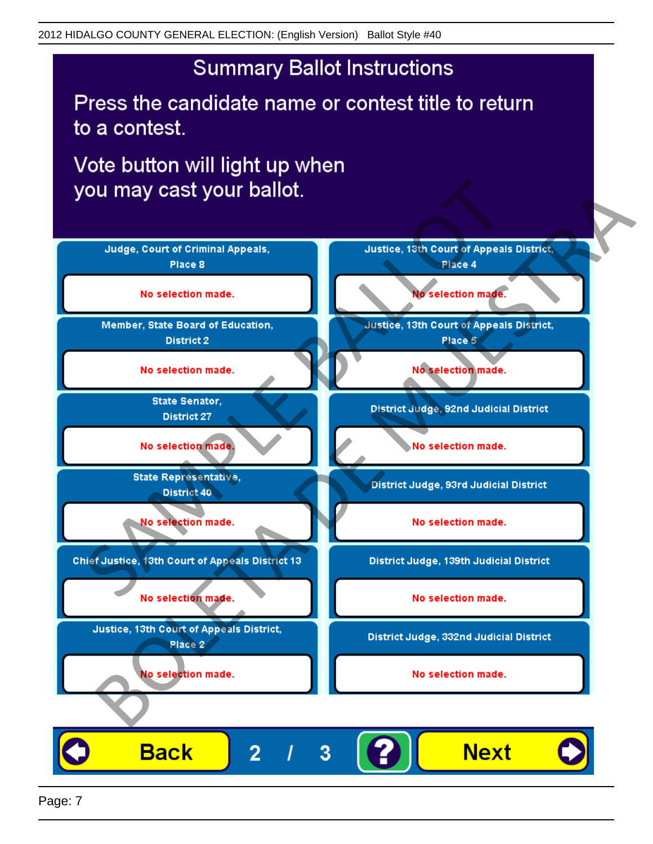## **Summary Ballot Instructions**

Press the candidate name or contest title to return to a contest.

Vote button will light up when